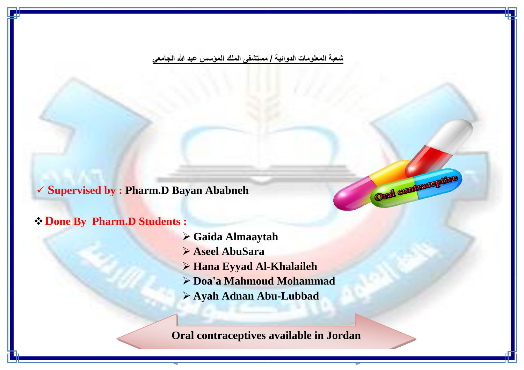**شعبة المعلومات الدوائية / مستشفى الملك المؤسس عبد هللا الجامعي**

**Supervised by : Pharm.D Bayan Ababneh**

### **Done By Pharm.D Students :**

- **Gaida Almaaytah**
- **Aseel AbuSara**
- **Hana Eyyad Al-Khalaileh**
- **Doa'a Mahmoud Mohammad**

Oral contraceptive

**Ayah Adnan Abu-Lubbad**

**Oral contraceptives available in Jordan**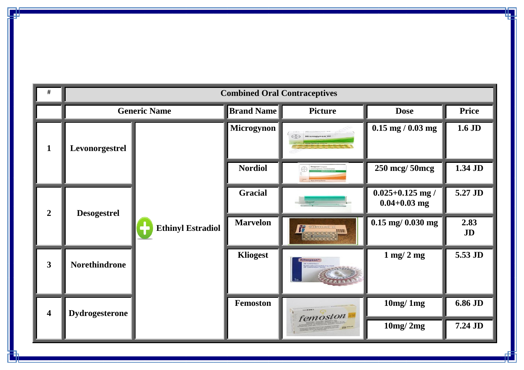| #                       | <b>Combined Oral Contraceptives</b> |                          |                                           |                          |                                          |              |
|-------------------------|-------------------------------------|--------------------------|-------------------------------------------|--------------------------|------------------------------------------|--------------|
|                         |                                     | <b>Generic Name</b>      | <b>Brand Name</b>                         | <b>Picture</b>           | <b>Dose</b>                              | <b>Price</b> |
| $\mathbf{1}$            | Levonorgestrel                      |                          | <b>Microgynon</b>                         | $\odot$<br>Microgynon'30 | $0.15$ mg / $0.03$ mg                    | $1.6$ JD     |
|                         |                                     |                          | <b>Nordiol</b>                            | Reogynon"Grageas         | 250 mcg/ 50mcg                           | 1.34 JD      |
| $\overline{2}$          | <b>Desogestrel</b>                  |                          | <b>Gracial</b>                            |                          | $0.025 + 0.125$ mg /<br>$0.04 + 0.03$ mg | 5.27 JD      |
|                         |                                     | <b>Ethinyl Estradiol</b> | <b>Marvelon</b><br><b>FRANKLONE MINER</b> | $0.15$ mg/ $0.030$ mg    | 2.83<br>JD                               |              |
| $\mathbf{3}$            | Norethindrone                       |                          | <b>Kliogest</b>                           | <b>Kliogest</b>          | $1 \text{ mg}/ 2 \text{ mg}$             | 5.53 JD      |
| $\overline{\mathbf{4}}$ | <b>Dydrogesterone</b>               |                          | <b>Femoston</b>                           | femoston                 | 10mg/1mg                                 | 6.86 JD      |
|                         |                                     |                          |                                           |                          | 10mg/2mg                                 | 7.24 JD      |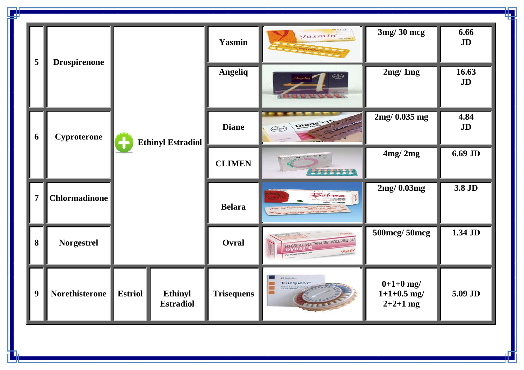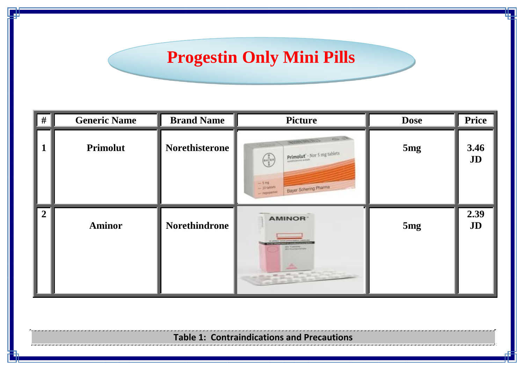## **Progestin Only Mini Pills**

| # | <b>Generic Name</b> | <b>Brand Name</b>     | <b>Picture</b>                                                                                                                                                                             | <b>Dose</b> | <b>Price</b> |
|---|---------------------|-----------------------|--------------------------------------------------------------------------------------------------------------------------------------------------------------------------------------------|-------------|--------------|
|   | Primolut            | <b>Norethisterone</b> | <b>Allian</b><br>トランクのおおいて<br><b>Primolut</b> - Nor 5 mg tablets<br>$\left(\frac{1}{n}\sum_{i=1}^{n}a_{i}x_{i}\right)$<br>$-5$ mg<br>Bayer Schering Pharma<br>$-20$ tablets<br>- пероралко | 5mg         | 3.46<br>JD   |
|   | <b>Aminor</b>       | Norethindrone         | <b>AMINOR</b><br>providence of<br><b>JID Composerers</b><br>盀<br><b>ASSESSMENT</b>                                                                                                         | 5mg         | 2.39<br>JD   |

**Table 1: Contraindications and Precautions**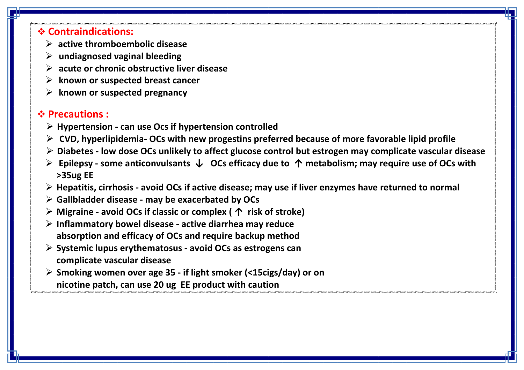### **Contraindications:**

- **active thromboembolic disease**
- **undiagnosed vaginal bleeding**
- **acute or chronic obstructive liver disease**
- $▶$  known or suspected breast cancer
- **known or suspected pregnancy**

### **Precautions :**

- **Hypertension - can use Ocs if hypertension controlled**
- **CVD, hyperlipidemia- OCs with new progestins preferred because of more favorable lipid profile**
- **Diabetes - low dose OCs unlikely to affect glucose control but estrogen may complicate vascular disease**
- **Epilepsy - some anticonvulsants ↓ OCs efficacy due to ↑ metabolism; may require use of OCs with >35ug EE**
- **Hepatitis, cirrhosis - avoid OCs if active disease; may use if liver enzymes have returned to normal**
- **Gallbladder disease - may be exacerbated by OCs**
- **Migraine - avoid OCs if classic or complex ( ↑ risk of stroke)**
- **Inflammatory bowel disease - active diarrhea may reduce absorption and efficacy of OCs and require backup method**
- **Systemic lupus erythematosus - avoid OCs as estrogens can complicate vascular disease**
- **Smoking women over age 35 - if light smoker (<15cigs/day) or on nicotine patch, can use 20 ug EE product with caution**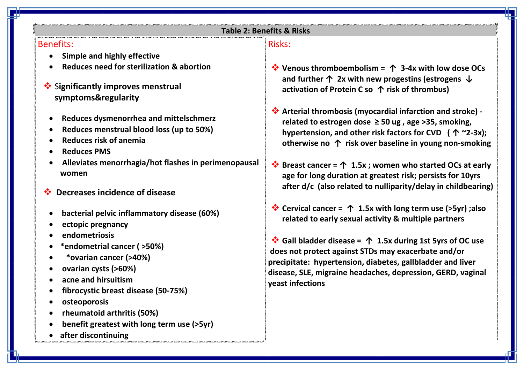#### **Table 2: Benefits & Risks**

#### Benefits:

- **Simple and highly effective**
- **Reduces need for sterilization & abortion**
- S**ignificantly improves menstrual**  symptoms&regularity
	- **Reduces dysmenorrhea and mittelschmerz**
	- **Reduces menstrual blood loss (up to 50%)**
	- **Reduces risk of anemia**
	- **Reduces PMS**
	- **Alleviates menorrhagia/hot flashes in perimenopausal women**
- **Decreases incidence of disease**
	- **bacterial pelvic inflammatory disease (60%)**
	- **ectopic pregnancy**
	- **endometriosis**
	- **\*endometrial cancer ( >50%)**
	- **\*ovarian cancer (>40%)**
	- **ovarian cysts (>60%)**
	- **acne and hirsuitism**
	- **fibrocystic breast disease (50-75%)**
	- **osteoporosis**
	- **rheumatoid arthritis (50%)**
	- **benefit greatest with long term use (>5yr)**
	- **after discontinuing**

#### Risks:

- **Venous thromboembolism = ↑ 3-4x with low dose OCs and further ↑ 2x with new progestins (estrogens ↓ activation of Protein C so ↑ risk of thrombus)**
- **Arterial thrombosis (myocardial infarction and stroke) related to estrogen dose ≥ 50 ug , age >35, smoking, hypertension, and other risk factors for CVD ( ↑ ~2-3x); otherwise no ↑ risk over baseline in young non-smoking**
- **Breast cancer = ↑ 1.5x ; women who started OCs at early age for long duration at greatest risk; persists for 10yrs after d/c (also related to nulliparity/delay in childbearing)**
- **Cervical cancer = ↑ 1.5x with long term use (>5yr) ;also related to early sexual activity & multiple partners**

 **Gall bladder disease = ↑ 1.5x during 1st 5yrs of OC use does not protect against STDs may exacerbate and/or precipitate: hypertension, diabetes, gallbladder and liver disease, SLE, migraine headaches, depression, GERD, vaginal yeast infections**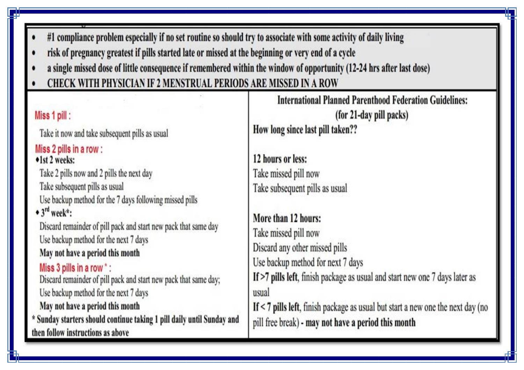- #1 compliance problem especially if no set routine so should try to associate with some activity of daily living
- risk of pregnancy greatest if pills started late or missed at the beginning or very end of a cycle
- a single missed dose of little consequence if remembered within the window of opportunity (12-24 hrs after last dose)
- CHECK WITH PHYSICIAN IF 2 MENSTRUAL PERIODS ARE MISSED IN A ROW

| Miss 1 pill:<br>Take it now and take subsequent pills as usual                                                                                                                                                                                                                                                                                                                                                                                                                                                                                                                                                                                                    | <b>International Planned Parenthood Federation Guidelines:</b><br>(for 21-day pill packs)<br>How long since last pill taken??                                                                                                                                                                                                                                                                                                         |
|-------------------------------------------------------------------------------------------------------------------------------------------------------------------------------------------------------------------------------------------------------------------------------------------------------------------------------------------------------------------------------------------------------------------------------------------------------------------------------------------------------------------------------------------------------------------------------------------------------------------------------------------------------------------|---------------------------------------------------------------------------------------------------------------------------------------------------------------------------------------------------------------------------------------------------------------------------------------------------------------------------------------------------------------------------------------------------------------------------------------|
| Miss 2 pills in a row:<br>•1st 2 weeks:<br>Take 2 pills now and 2 pills the next day<br>Take subsequent pills as usual<br>Use backup method for the 7 days following missed pills<br>$\bullet$ 3 <sup>rd</sup> week*:<br>Discard remainder of pill pack and start new pack that same day<br>Use backup method for the next 7 days<br>May not have a period this month<br>Miss 3 pills in a row *:<br>Discard remainder of pill pack and start new pack that same day;<br>Use backup method for the next 7 days<br>May not have a period this month<br>* Sunday starters should continue taking 1 pill daily until Sunday and<br>then follow instructions as above | 12 hours or less:<br>Take missed pill now<br>Take subsequent pills as usual<br>More than 12 hours:<br>Take missed pill now<br>Discard any other missed pills<br>Use backup method for next 7 days<br>If >7 pills left, finish package as usual and start new one 7 days later as<br>usual<br>If $<$ 7 pills left, finish package as usual but start a new one the next day (no<br>pill free break) - may not have a period this month |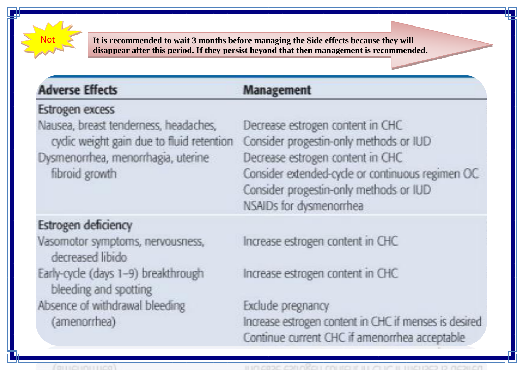

It is recommended to wait 3 months before managing the Side effects because they will disappear after this period. If they persist beyond that then management is recommended.

### **Adverse Effects**

### **Management**

### Estrogen excess

Nausea, breast tenderness, headaches, cydic weight gain due to fluid retention Dysmenorrhea, menorrhagia, uterine fibroid growth

### Estrogen deficiency

Vasomotor symptoms, nervousness, decreased libido Early-cycle (days 1-9) breakthrough bleeding and spotting Absence of withdrawal bleeding (amenorrhea)

Decrease estrogen content in CHC Consider progestin-only methods or IUD Decrease estrogen content in CHC Consider extended-cycle or continuous regimen OC Consider progestin-only methods or IUD NSAIDs for dysmenorrhea

Increase estrogen content in CHC

Increase estrogen content in CHC

Exclude pregnancy Increase estrogen content in CHC if menses is desired. Continue current CHC if amenorrhea acceptable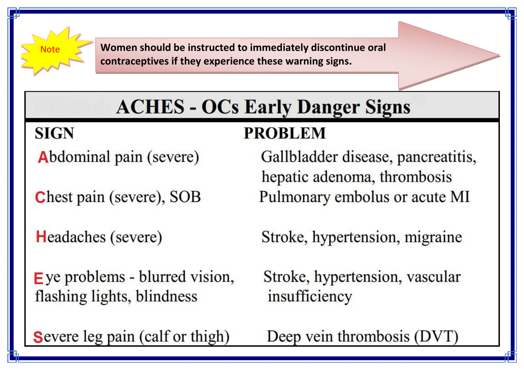

**SIGN** 

Women should be instructed to immediately discontinue oral contraceptives if they experience these warning signs.

# **ACHES - OCs Early Danger Signs**

## **PROBLEM**

Abdominal pain (severe)

Chest pain (severe), SOB

**Headaches** (severe)

 $\mathsf{E}$  ye problems - blurred vision, flashing lights, blindness

Gallbladder disease, pancreatitis, hepatic adenoma, thrombosis Pulmonary embolus or acute MI

Stroke, hypertension, migraine

Stroke, hypertension, vascular insufficiency

Deep vein thrombosis (DVT)

Severe leg pain (calf or thigh)